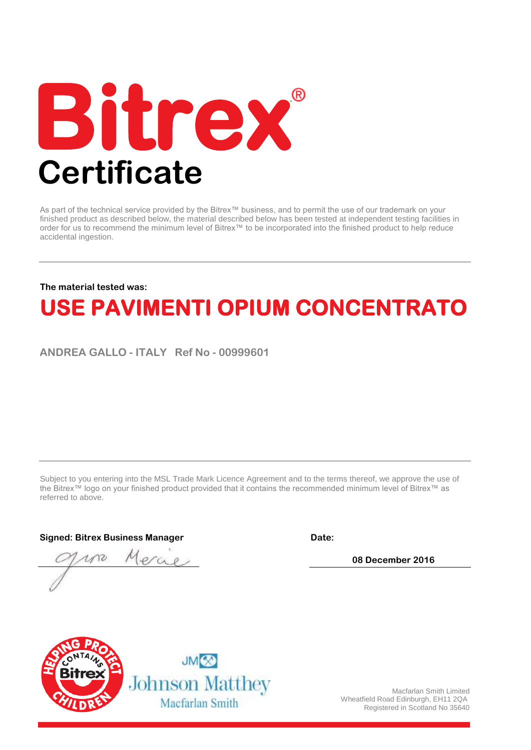

As part of the technical service provided by the Bitrex™ business, and to permit the use of our trademark on your finished product as described below, the material described below has been tested at independent testing facilities in order for us to recommend the minimum level of Bitrex™ to be incorporated into the finished product to help reduce accidental ingestion.

## **The material tested was:**

## **USE PAVIMENTI OPIUM CONCENTRATO**

**ANDREA GALLO - ITALY Ref No - 00999601**

Subject to you entering into the MSL Trade Mark Licence Agreement and to the terms thereof, we approve the use of the Bitrex™ logo on your finished product provided that it contains the recommended minimum level of Bitrex™ as referred to above.

**Signed: Bitrex Business Manager** 

**Date:** 

**08 December 2016**





Macfarlan Smith Limited Wheatfield Road Edinburgh, EH11 2QA Registered in Scotland No 35640